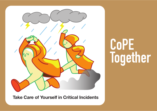

**CoPE Together** 

**Take Care of Yourself 
in Critical Incidents**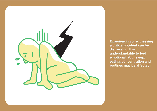

**Experiencing or witnessing** a critical incident can be distressing. It is understandable to feel emotional. Your sleep, eating, concentration and routines may be affected.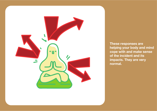

**These responses are helping your body and mind cope with and make sense of the incident and its impacts. They are very normal.**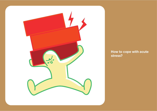

**How to cope with acute stress?**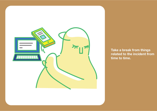

**Take a break from things related to the incident from time to time.**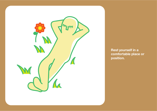

**Rest yourself in a comfortable place or position.**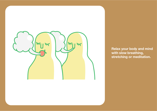

**Relax your body and mind with slow breathing, stretching or meditation.**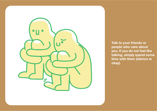

**Talk to your friends or people who care about you. If you do not feel like talking, simply spend some time with them (silence is okay).**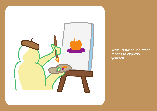

**Write, draw or use other means to express yourself.**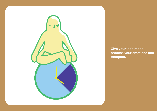

**Give yourself time to process your emotions and thoughts.**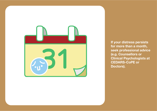

**If your distress persists for more than a month, seek professional advice (e.g. Counsellors or Clinical Psychologists at CEDARS-CoPE or Doctors).**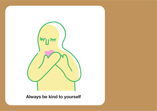

**Always be kind to yourself**